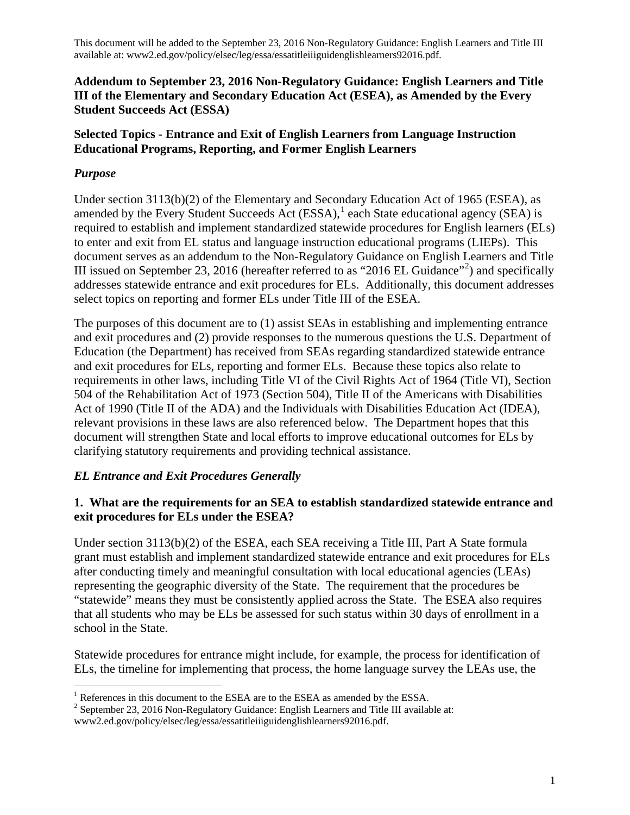## **Addendum to September 23, 2016 Non-Regulatory Guidance: English Learners and Title III of the Elementary and Secondary Education Act (ESEA), as Amended by the Every Student Succeeds Act (ESSA)**

## **Selected Topics - Entrance and Exit of English Learners from Language Instruction Educational Programs, Reporting, and Former English Learners**

## *Purpose*

Under section 3113(b)(2) of the Elementary and Secondary Education Act of 1965 (ESEA), as amended by the Every Student Succeeds Act  $(ESSA)$ ,  $\frac{1}{1}$  $\frac{1}{1}$  $\frac{1}{1}$  each State educational agency (SEA) is required to establish and implement standardized statewide procedures for English learners (ELs) to enter and exit from EL status and language instruction educational programs (LIEPs). This document serves as an addendum to the Non-Regulatory Guidance on English Learners and Title III issued on September [2](#page-0-1)3, 2016 (hereafter referred to as "2016 EL Guidance"<sup>2</sup>) and specifically addresses statewide entrance and exit procedures for ELs. Additionally, this document addresses select topics on reporting and former ELs under Title III of the ESEA.

The purposes of this document are to (1) assist SEAs in establishing and implementing entrance and exit procedures and (2) provide responses to the numerous questions the U.S. Department of Education (the Department) has received from SEAs regarding standardized statewide entrance and exit procedures for ELs, reporting and former ELs. Because these topics also relate to requirements in other laws, including Title VI of the Civil Rights Act of 1964 (Title VI), Section 504 of the Rehabilitation Act of 1973 (Section 504), Title II of the Americans with Disabilities Act of 1990 (Title II of the ADA) and the Individuals with Disabilities Education Act (IDEA), relevant provisions in these laws are also referenced below. The Department hopes that this document will strengthen State and local efforts to improve educational outcomes for ELs by clarifying statutory requirements and providing technical assistance.

# *EL Entrance and Exit Procedures Generally*

## **1. What are the requirements for an SEA to establish standardized statewide entrance and exit procedures for ELs under the ESEA?**

Under section 3113(b)(2) of the ESEA, each SEA receiving a Title III, Part A State formula grant must establish and implement standardized statewide entrance and exit procedures for ELs after conducting timely and meaningful consultation with local educational agencies (LEAs) representing the geographic diversity of the State. The requirement that the procedures be "statewide" means they must be consistently applied across the State. The ESEA also requires that all students who may be ELs be assessed for such status within 30 days of enrollment in a school in the State.

Statewide procedures for entrance might include, for example, the process for identification of ELs, the timeline for implementing that process, the home language survey the LEAs use, the

<span id="page-0-0"></span><sup>&</sup>lt;sup>1</sup> References in this document to the ESEA are to the ESEA as amended by the ESSA. <sup>2</sup> September 23, 2016 Non-Regulatory Guidance: English Learners and Title III available at:

<span id="page-0-1"></span>www2.ed.gov/policy/elsec/leg/essa/essatitleiiiguidenglishlearners92016.pdf.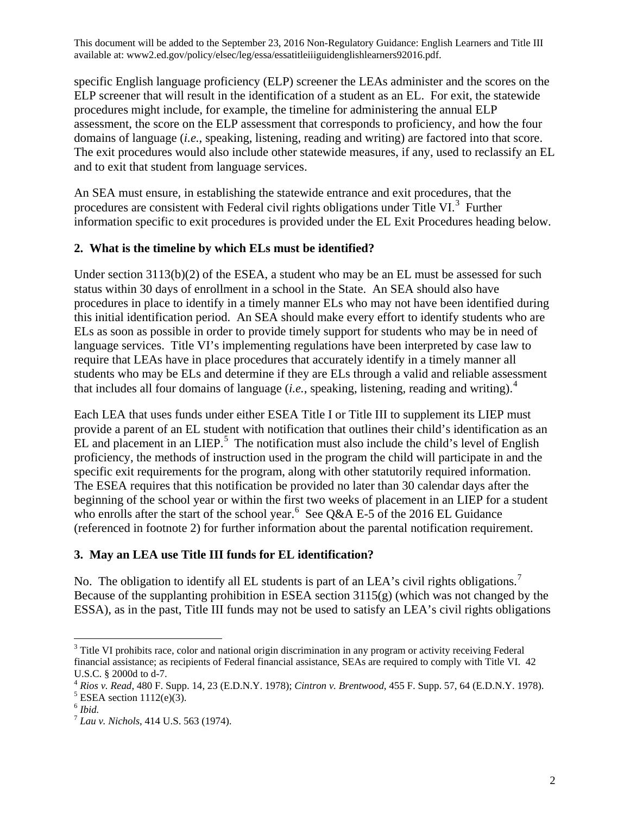specific English language proficiency (ELP) screener the LEAs administer and the scores on the ELP screener that will result in the identification of a student as an EL. For exit, the statewide procedures might include, for example, the timeline for administering the annual ELP assessment, the score on the ELP assessment that corresponds to proficiency, and how the four domains of language (*i.e.*, speaking, listening, reading and writing) are factored into that score. The exit procedures would also include other statewide measures, if any, used to reclassify an EL and to exit that student from language services.

An SEA must ensure, in establishing the statewide entrance and exit procedures, that the procedures are consistent with Federal civil rights obligations under Title VI.<sup>[3](#page-1-0)</sup> Further information specific to exit procedures is provided under the EL Exit Procedures heading below.

## **2. What is the timeline by which ELs must be identified?**

Under section 3113(b)(2) of the ESEA, a student who may be an EL must be assessed for such status within 30 days of enrollment in a school in the State. An SEA should also have procedures in place to identify in a timely manner ELs who may not have been identified during this initial identification period. An SEA should make every effort to identify students who are ELs as soon as possible in order to provide timely support for students who may be in need of language services. Title VI's implementing regulations have been interpreted by case law to require that LEAs have in place procedures that accurately identify in a timely manner all students who may be ELs and determine if they are ELs through a valid and reliable assessment that includes all four domains of language (*i.e.*, speaking, listening, reading and writing). [4](#page-1-1)

Each LEA that uses funds under either ESEA Title I or Title III to supplement its LIEP must provide a parent of an EL student with notification that outlines their child's identification as an  $EL$  and placement in an LIEP.<sup>[5](#page-1-2)</sup> The notification must also include the child's level of English proficiency, the methods of instruction used in the program the child will participate in and the specific exit requirements for the program, along with other statutorily required information. The ESEA requires that this notification be provided no later than 30 calendar days after the beginning of the school year or within the first two weeks of placement in an LIEP for a student who enrolls after the start of the school year.<sup>[6](#page-1-3)</sup> See Q&A E-5 of the 2016 EL Guidance (referenced in footnote 2) for further information about the parental notification requirement.

# **3. May an LEA use Title III funds for EL identification?**

No. The obligation to identify all EL students is part of an LEA's civil rights obligations.<sup>[7](#page-1-4)</sup> Because of the supplanting prohibition in ESEA section 3115(g) (which was not changed by the ESSA), as in the past, Title III funds may not be used to satisfy an LEA's civil rights obligations

<span id="page-1-0"></span><sup>&</sup>lt;sup>3</sup> Title VI prohibits race, color and national origin discrimination in any program or activity receiving Federal financial assistance; as recipients of Federal financial assistance, SEAs are required to comply with Title VI. 42

<span id="page-1-1"></span>U.S.C. § 2000d to d-7.<br><sup>4</sup> *Rios v. Read*, 480 F. Supp. 14, 23 (E.D.N.Y. 1978); *Cintron v. Brentwood*, 455 F. Supp. 57, 64 (E.D.N.Y. 1978).<br><sup>5</sup> ESEA section 1112(e)(3).

<span id="page-1-3"></span><span id="page-1-2"></span><sup>6</sup> *Ibid.*

<span id="page-1-4"></span><sup>7</sup> *Lau v. Nichols*, 414 U.S. 563 (1974).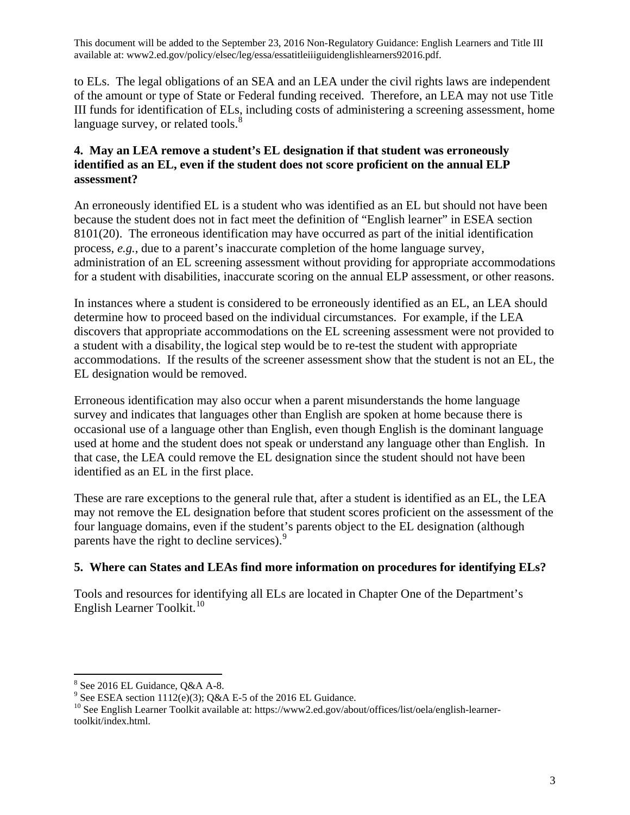to ELs. The legal obligations of an SEA and an LEA under the civil rights laws are independent of the amount or type of State or Federal funding received. Therefore, an LEA may not use Title III funds for identification of ELs, including costs of administering a screening assessment, home language survey, or related tools.<sup>[8](#page-2-0)</sup>

### **4. May an LEA remove a student's EL designation if that student was erroneously identified as an EL, even if the student does not score proficient on the annual ELP assessment?**

An erroneously identified EL is a student who was identified as an EL but should not have been because the student does not in fact meet the definition of "English learner" in ESEA section 8101(20). The erroneous identification may have occurred as part of the initial identification process, *e.g.*, due to a parent's inaccurate completion of the home language survey, administration of an EL screening assessment without providing for appropriate accommodations for a student with disabilities, inaccurate scoring on the annual ELP assessment, or other reasons.

In instances where a student is considered to be erroneously identified as an EL, an LEA should determine how to proceed based on the individual circumstances. For example, if the LEA discovers that appropriate accommodations on the EL screening assessment were not provided to a student with a disability, the logical step would be to re-test the student with appropriate accommodations. If the results of the screener assessment show that the student is not an EL, the EL designation would be removed.

Erroneous identification may also occur when a parent misunderstands the home language survey and indicates that languages other than English are spoken at home because there is occasional use of a language other than English, even though English is the dominant language used at home and the student does not speak or understand any language other than English. In that case, the LEA could remove the EL designation since the student should not have been identified as an EL in the first place.

These are rare exceptions to the general rule that, after a student is identified as an EL, the LEA may not remove the EL designation before that student scores proficient on the assessment of the four language domains, even if the student's parents object to the EL designation (although parents have the right to decline services). [9](#page-2-1)

# **5. Where can States and LEAs find more information on procedures for identifying ELs?**

Tools and resources for identifying all ELs are located in Chapter One of the Department's English Learner Toolkit. [10](#page-2-2)

<span id="page-2-2"></span>

<span id="page-2-1"></span><span id="page-2-0"></span><sup>&</sup>lt;sup>8</sup> See 2016 EL Guidance, Q&A A-8.<br><sup>9</sup> See ESEA section 1112(e)(3); Q&A E-5 of the 2016 EL Guidance. <sup>10</sup> See English Learner Toolkit available at: https://www2.ed.gov/about/offices/list/oela/english-learnertoolkit/index.html.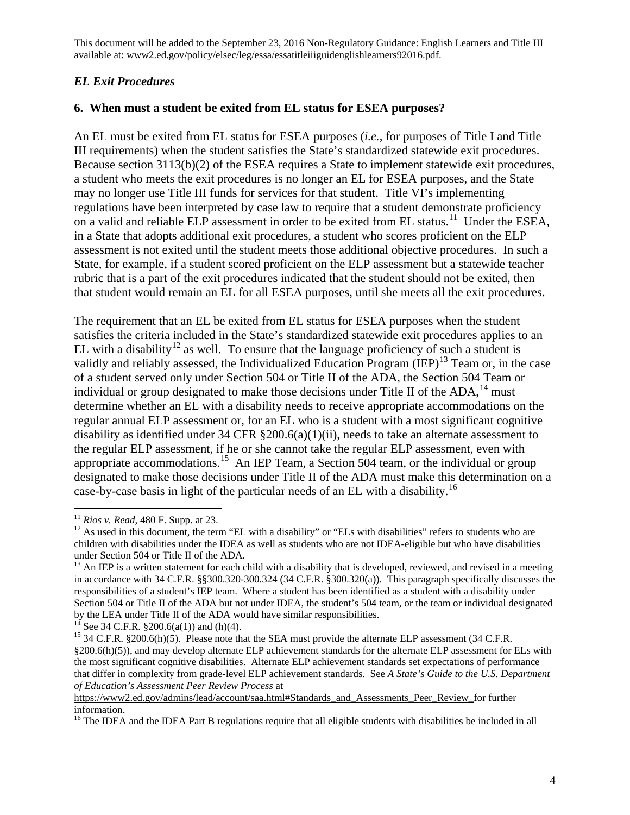## *EL Exit Procedures*

### **6. When must a student be exited from EL status for ESEA purposes?**

An EL must be exited from EL status for ESEA purposes (*i.e.*, for purposes of Title I and Title III requirements) when the student satisfies the State's standardized statewide exit procedures. Because section 3113(b)(2) of the ESEA requires a State to implement statewide exit procedures, a student who meets the exit procedures is no longer an EL for ESEA purposes, and the State may no longer use Title III funds for services for that student. Title VI's implementing regulations have been interpreted by case law to require that a student demonstrate proficiency on a valid and reliable ELP assessment in order to be exited from EL status.<sup>11</sup> Under the ESEA, in a State that adopts additional exit procedures, a student who scores proficient on the ELP assessment is not exited until the student meets those additional objective procedures. In such a State, for example, if a student scored proficient on the ELP assessment but a statewide teacher rubric that is a part of the exit procedures indicated that the student should not be exited, then that student would remain an EL for all ESEA purposes, until she meets all the exit procedures.

The requirement that an EL be exited from EL status for ESEA purposes when the student satisfies the criteria included in the State's standardized statewide exit procedures applies to an EL with a disability<sup>[12](#page-3-1)</sup> as well. To ensure that the language proficiency of such a student is validly and reliably assessed, the Individualized Education Program  $\text{(IEP)}^{13}$  $\text{(IEP)}^{13}$  $\text{(IEP)}^{13}$  Team or, in the case of a student served only under Section 504 or Title II of the ADA, the Section 504 Team or individual or group designated to make those decisions under Title II of the  $ADA$ ,<sup>[14](#page-3-3)</sup> must determine whether an EL with a disability needs to receive appropriate accommodations on the regular annual ELP assessment or, for an EL who is a student with a most significant cognitive disability as identified under 34 CFR §200.6(a)(1)(ii), needs to take an alternate assessment to the regular ELP assessment, if he or she cannot take the regular ELP assessment, even with appropriate accommodations.<sup>15</sup> An IEP Team, a Section 504 team, or the individual or group designated to make those decisions under Title II of the ADA must make this determination on a case-by-case basis in light of the particular needs of an EL with a disability.<sup>[16](#page-3-5)</sup>

<span id="page-3-3"></span>

<span id="page-3-0"></span> $^{11}$  Rios v. Read, 480 F. Supp. at 23.

<span id="page-3-1"></span><sup>&</sup>lt;sup>12</sup> As used in this document, the term "EL with a disability" or "ELs with disabilities" refers to students who are children with disabilities under the IDEA as well as students who are not IDEA-eligible but who have disabilities

<span id="page-3-2"></span> $13$  An IEP is a written statement for each child with a disability that is developed, reviewed, and revised in a meeting in accordance with 34 C.F.R. §§300.320-300.324 (34 C.F.R. §300.320(a)). This paragraph specifically discusses the responsibilities of a student's IEP team. Where a student has been identified as a student with a disability under Section 504 or Title II of the ADA but not under IDEA, the student's 504 team, or the team or individual designated by the LEA under Title II of the ADA would have similar responsibilities.<br><sup>14</sup> See 34 C.F.R. §200.6(a(1)) and (h)(4).<br><sup>15</sup> 34 C.F.R. §200.6(h)(5). Please note that the SEA must provide the alternate ELP assessment (34 C.F

<span id="page-3-4"></span><sup>§200.6(</sup>h)(5)), and may develop alternate ELP achievement standards for the alternate ELP assessment for ELs with the most significant cognitive disabilities. Alternate ELP achievement standards set expectations of performance that differ in complexity from grade-level ELP achievement standards. See *A State's Guide to the U.S. Department of Education's Assessment Peer Review Process* at

[https://www2.ed.gov/admins/lead/account/saa.html#Standards\\_and\\_Assessments\\_Peer\\_Review\\_f](https://www2.ed.gov/admins/lead/account/saa.html#Standards_and_Assessments_Peer_Review_)or further information.

<span id="page-3-5"></span><sup>&</sup>lt;sup>16</sup> The IDEA and the IDEA Part B regulations require that all eligible students with disabilities be included in all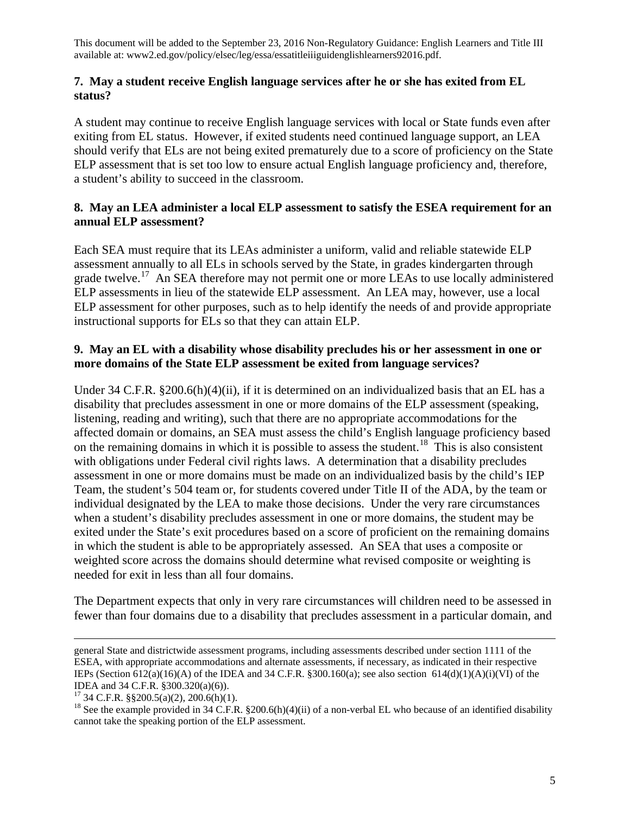#### **7. May a student receive English language services after he or she has exited from EL status?**

A student may continue to receive English language services with local or State funds even after exiting from EL status. However, if exited students need continued language support, an LEA should verify that ELs are not being exited prematurely due to a score of proficiency on the State ELP assessment that is set too low to ensure actual English language proficiency and, therefore, a student's ability to succeed in the classroom.

### **8. May an LEA administer a local ELP assessment to satisfy the ESEA requirement for an annual ELP assessment?**

Each SEA must require that its LEAs administer a uniform, valid and reliable statewide ELP assessment annually to all ELs in schools served by the State, in grades kindergarten through grade twelve.<sup>[17](#page-4-0)</sup> An SEA therefore may not permit one or more LEAs to use locally administered ELP assessments in lieu of the statewide ELP assessment. An LEA may, however, use a local ELP assessment for other purposes, such as to help identify the needs of and provide appropriate instructional supports for ELs so that they can attain ELP.

### **9. May an EL with a disability whose disability precludes his or her assessment in one or more domains of the State ELP assessment be exited from language services?**

Under 34 C.F.R. §200.6(h)(4)(ii), if it is determined on an individualized basis that an EL has a disability that precludes assessment in one or more domains of the ELP assessment (speaking, listening, reading and writing), such that there are no appropriate accommodations for the affected domain or domains, an SEA must assess the child's English language proficiency based on the remaining domains in which it is possible to assess the student.<sup>[18](#page-4-1)</sup> This is also consistent with obligations under Federal civil rights laws. A determination that a disability precludes assessment in one or more domains must be made on an individualized basis by the child's IEP Team, the student's 504 team or, for students covered under Title II of the ADA, by the team or individual designated by the LEA to make those decisions. Under the very rare circumstances when a student's disability precludes assessment in one or more domains, the student may be exited under the State's exit procedures based on a score of proficient on the remaining domains in which the student is able to be appropriately assessed. An SEA that uses a composite or weighted score across the domains should determine what revised composite or weighting is needed for exit in less than all four domains.

The Department expects that only in very rare circumstances will children need to be assessed in fewer than four domains due to a disability that precludes assessment in a particular domain, and

general State and districtwide assessment programs, including assessments described under section 1111 of the ESEA, with appropriate accommodations and alternate assessments, if necessary, as indicated in their respective IEPs (Section 612(a)(16)(A) of the IDEA and 34 C.F.R. §300.160(a); see also section 614(d)(1)(A)(i)(VI) of the IDEA and 34 C.F.R. §300.320(a)(6)).<br><sup>17</sup> 34 C.F.R. §§200.5(a)(2), 200.6(h)(1).<br><sup>18</sup> See the example provided in 34 C.F.R. §200.6(h)(4)(ii) of a non-verbal EL who because of an identified disability

<span id="page-4-0"></span>

<span id="page-4-1"></span>cannot take the speaking portion of the ELP assessment.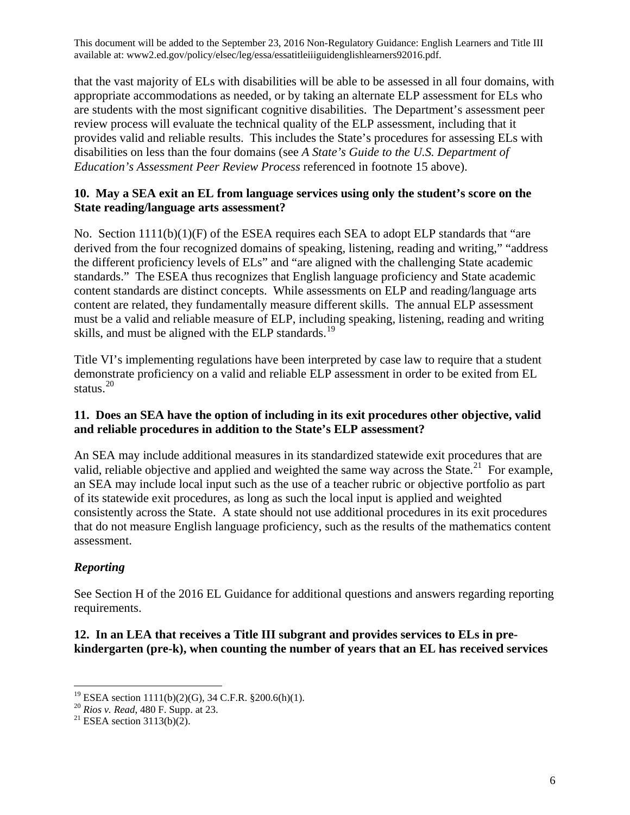that the vast majority of ELs with disabilities will be able to be assessed in all four domains, with appropriate accommodations as needed, or by taking an alternate ELP assessment for ELs who are students with the most significant cognitive disabilities. The Department's assessment peer review process will evaluate the technical quality of the ELP assessment, including that it provides valid and reliable results. This includes the State's procedures for assessing ELs with disabilities on less than the four domains (see *A State's Guide to the U.S. Department of Education's Assessment Peer Review Process* referenced in footnote 15 above).

#### **10. May a SEA exit an EL from language services using only the student's score on the State reading/language arts assessment?**

No. Section  $1111(b)(1)(F)$  of the ESEA requires each SEA to adopt ELP standards that "are derived from the four recognized domains of speaking, listening, reading and writing," "address the different proficiency levels of ELs" and "are aligned with the challenging State academic standards." The ESEA thus recognizes that English language proficiency and State academic content standards are distinct concepts. While assessments on ELP and reading/language arts content are related, they fundamentally measure different skills. The annual ELP assessment must be a valid and reliable measure of ELP, including speaking, listening, reading and writing skills, and must be aligned with the ELP standards.<sup>[19](#page-5-0)</sup>

Title VI's implementing regulations have been interpreted by case law to require that a student demonstrate proficiency on a valid and reliable ELP assessment in order to be exited from EL status. $^{20}$  $^{20}$  $^{20}$ 

#### **11. Does an SEA have the option of including in its exit procedures other objective, valid and reliable procedures in addition to the State's ELP assessment?**

An SEA may include additional measures in its standardized statewide exit procedures that are valid, reliable objective and applied and weighted the same way across the State.<sup>[21](#page-5-2)</sup> For example, an SEA may include local input such as the use of a teacher rubric or objective portfolio as part of its statewide exit procedures, as long as such the local input is applied and weighted consistently across the State. A state should not use additional procedures in its exit procedures that do not measure English language proficiency, such as the results of the mathematics content assessment.

# *Reporting*

See Section H of the 2016 EL Guidance for additional questions and answers regarding reporting requirements.

**12. In an LEA that receives a Title III subgrant and provides services to ELs in prekindergarten (pre-k), when counting the number of years that an EL has received services** 

<sup>&</sup>lt;sup>19</sup> ESEA section 1111(b)(2)(G), 34 C.F.R. §200.6(h)(1).

<span id="page-5-2"></span><span id="page-5-1"></span><span id="page-5-0"></span><sup>20</sup> *Rios v. Read*, 480 F. Supp. at 23.<br><sup>21</sup> ESEA section 3113(b)(2).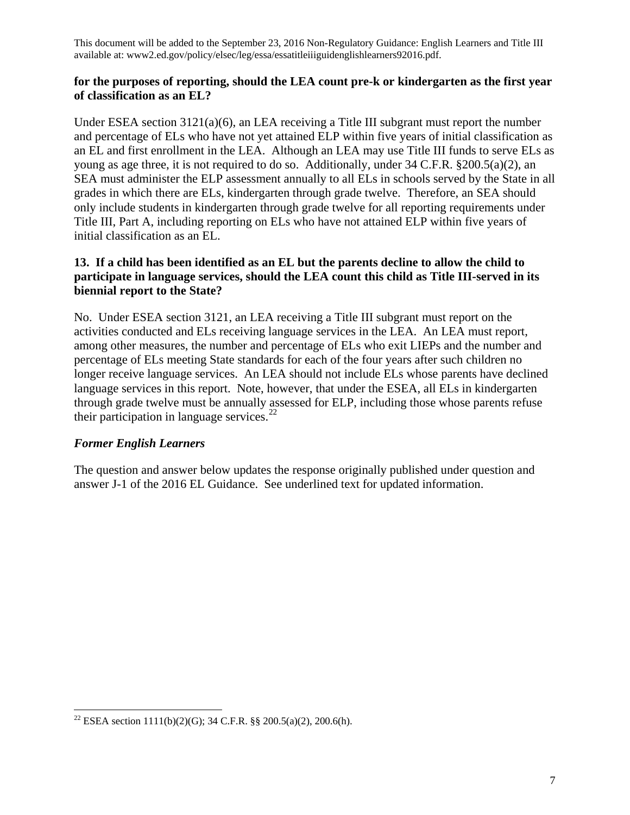#### **for the purposes of reporting, should the LEA count pre-k or kindergarten as the first year of classification as an EL?**

Under ESEA section  $3121(a)(6)$ , an LEA receiving a Title III subgrant must report the number and percentage of ELs who have not yet attained ELP within five years of initial classification as an EL and first enrollment in the LEA. Although an LEA may use Title III funds to serve ELs as young as age three, it is not required to do so. Additionally, under 34 C.F.R. §200.5(a)(2), an SEA must administer the ELP assessment annually to all ELs in schools served by the State in all grades in which there are ELs, kindergarten through grade twelve. Therefore, an SEA should only include students in kindergarten through grade twelve for all reporting requirements under Title III, Part A, including reporting on ELs who have not attained ELP within five years of initial classification as an EL.

### **13. If a child has been identified as an EL but the parents decline to allow the child to participate in language services, should the LEA count this child as Title III-served in its biennial report to the State?**

No. Under ESEA section 3121, an LEA receiving a Title III subgrant must report on the activities conducted and ELs receiving language services in the LEA. An LEA must report, among other measures, the number and percentage of ELs who exit LIEPs and the number and percentage of ELs meeting State standards for each of the four years after such children no longer receive language services. An LEA should not include ELs whose parents have declined language services in this report. Note, however, that under the ESEA, all ELs in kindergarten through grade twelve must be annually assessed for ELP, including those whose parents refuse their participation in language services. $^{22}$  $^{22}$  $^{22}$ 

# *Former English Learners*

 $\overline{\phantom{a}}$ 

The question and answer below updates the response originally published under question and answer J-1 of the 2016 EL Guidance. See underlined text for updated information.

<span id="page-6-0"></span><sup>&</sup>lt;sup>22</sup> ESEA section 1111(b)(2)(G); 34 C.F.R. §§ 200.5(a)(2), 200.6(h).